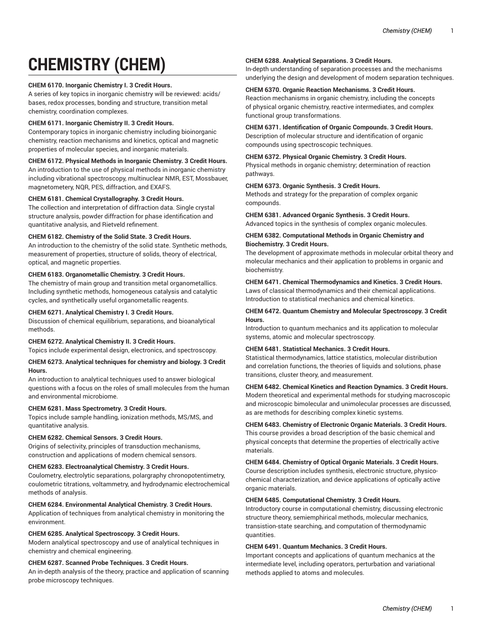# **CHEMISTRY (CHEM)**

# **CHEM 6170. Inorganic Chemistry I. 3 Credit Hours.**

A series of key topics in inorganic chemistry will be reviewed: acids/ bases, redox processes, bonding and structure, transition metal chemistry, coordination complexes.

## **CHEM 6171. Inorganic Chemistry II. 3 Credit Hours.**

Contemporary topics in inorganic chemistry including bioinorganic chemistry, reaction mechanisms and kinetics, optical and magnetic properties of molecular species, and inorganic materials.

# **CHEM 6172. Physical Methods in Inorganic Chemistry. 3 Credit Hours.**

An introduction to the use of physical methods in inorganic chemistry including vibrational spectroscopy, multinuclear NMR, EST, Mossbauer, magnetometery, NQR, PES, diffraction, and EXAFS.

# **CHEM 6181. Chemical Crystallography. 3 Credit Hours.**

The collection and interpretation of diffraction data. Single crystal structure analysis, powder diffraction for phase identification and quantitative analysis, and Rietveld refinement.

# **CHEM 6182. Chemistry of the Solid State. 3 Credit Hours.**

An introduction to the chemistry of the solid state. Synthetic methods, measurement of properties, structure of solids, theory of electrical, optical, and magnetic properties.

# **CHEM 6183. Organometallic Chemistry. 3 Credit Hours.**

The chemistry of main group and transition metal organometallics. Including synthetic methods, homogeneous catalysis and catalytic cycles, and synthetically useful organometallic reagents.

## **CHEM 6271. Analytical Chemistry I. 3 Credit Hours.**

Discussion of chemical equilibrium, separations, and bioanalytical methods.

## **CHEM 6272. Analytical Chemistry II. 3 Credit Hours.**

Topics include experimental design, electronics, and spectroscopy.

#### **CHEM 6273. Analytical techniques for chemistry and biology. 3 Credit Hours.**

An introduction to analytical techniques used to answer biological questions with a focus on the roles of small molecules from the human and environmental microbiome.

# **CHEM 6281. Mass Spectrometry. 3 Credit Hours.**

Topics include sample handling, ionization methods, MS/MS, and quantitative analysis.

# **CHEM 6282. Chemical Sensors. 3 Credit Hours.**

Origins of selectivity, principles of transduction mechanisms, construction and applications of modern chemical sensors.

# **CHEM 6283. Electroanalytical Chemistry. 3 Credit Hours.**

Coulometry, electrolytic separations, polargraphy chronopotentimetry, coulometric titrations, voltammetry, and hydrodynamic electrochemical methods of analysis.

#### **CHEM 6284. Environmental Analytical Chemistry. 3 Credit Hours.**

Application of techniques from analytical chemistry in monitoring the environment.

#### **CHEM 6285. Analytical Spectroscopy. 3 Credit Hours.**

Modern analytical spectroscopy and use of analytical techniques in chemistry and chemical engineering.

# **CHEM 6287. Scanned Probe Techniques. 3 Credit Hours.**

An in-depth analysis of the theory, practice and application of scanning probe microscopy techniques.

#### **CHEM 6288. Analytical Separations. 3 Credit Hours.**

In-depth understanding of separation processes and the mechanisms underlying the design and development of modern separation techniques.

## **CHEM 6370. Organic Reaction Mechanisms. 3 Credit Hours.**

Reaction mechanisms in organic chemistry, including the concepts of physical organic chemistry, reactive intermediates, and complex functional group transformations.

**CHEM 6371. Identification of Organic Compounds. 3 Credit Hours.** Description of molecular structure and identification of organic compounds using spectroscopic techniques.

# **CHEM 6372. Physical Organic Chemistry. 3 Credit Hours.**

Physical methods in organic chemistry; determination of reaction pathways.

# **CHEM 6373. Organic Synthesis. 3 Credit Hours.**

Methods and strategy for the preparation of complex organic compounds.

**CHEM 6381. Advanced Organic Synthesis. 3 Credit Hours.** Advanced topics in the synthesis of complex organic molecules.

# **CHEM 6382. Computational Methods in Organic Chemistry and Biochemistry. 3 Credit Hours.**

The development of approximate methods in molecular orbital theory and molecular mechanics and their application to problems in organic and biochemistry.

# **CHEM 6471. Chemical Thermodynamics and Kinetics. 3 Credit Hours.** Laws of classical thermodynamics and their chemical applications.

Introduction to statistical mechanics and chemical kinetics. **CHEM 6472. Quantum Chemistry and Molecular Spectroscopy. 3 Credit Hours.**

Introduction to quantum mechanics and its application to molecular systems, atomic and molecular spectroscopy.

#### **CHEM 6481. Statistical Mechanics. 3 Credit Hours.**

Statistical thermodynamics, lattice statistics, molecular distribution and correlation functions, the theories of liquids and solutions, phase transitions, cluster theory, and measurement.

### **CHEM 6482. Chemical Kinetics and Reaction Dynamics. 3 Credit Hours.**

Modern theoretical and experimental methods for studying macroscopic and microscopic bimolecular and unimolecular processes are discussed, as are methods for describing complex kinetic systems.

#### **CHEM 6483. Chemistry of Electronic Organic Materials. 3 Credit Hours.**

This course provides a broad description of the basic chemical and physical concepts that determine the properties of electrically active materials.

**CHEM 6484. Chemistry of Optical Organic Materials. 3 Credit Hours.** Course description includes synthesis, electronic structure, physicochemical characterization, and device applications of optically active organic materials.

#### **CHEM 6485. Computational Chemistry. 3 Credit Hours.**

Introductory course in computational chemistry, discussing electronic structure theory, semiemphirical methods, molecular mechanics, transistion-state searching, and computation of thermodynamic quantities.

#### **CHEM 6491. Quantum Mechanics. 3 Credit Hours.**

Important concepts and applications of quantum mechanics at the intermediate level, including operators, perturbation and variational methods applied to atoms and molecules.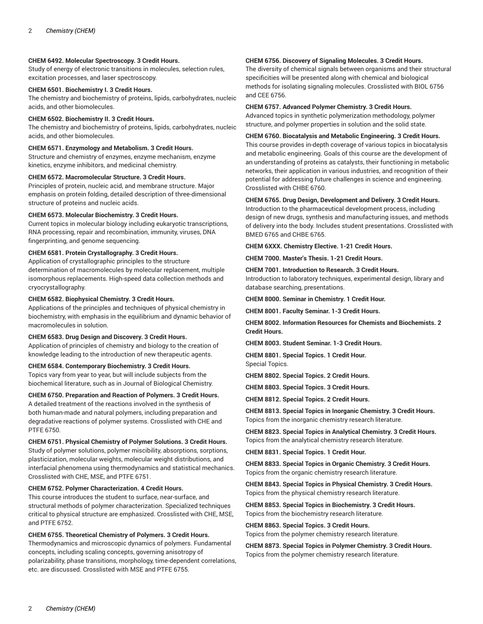# **CHEM 6492. Molecular Spectroscopy. 3 Credit Hours.**

Study of energy of electronic transitions in molecules, selection rules, excitation processes, and laser spectroscopy.

### **CHEM 6501. Biochemistry I. 3 Credit Hours.**

The chemistry and biochemistry of proteins, lipids, carbohydrates, nucleic acids, and other biomolecules.

#### **CHEM 6502. Biochemistry II. 3 Credit Hours.**

The chemistry and biochemistry of proteins, lipids, carbohydrates, nucleic acids, and other biomolecules.

# **CHEM 6571. Enzymology and Metabolism. 3 Credit Hours.**

Structure and chemistry of enzymes, enzyme mechanism, enzyme kinetics, enzyme inhibitors, and medicinal chemistry.

#### **CHEM 6572. Macromolecular Structure. 3 Credit Hours.**

Principles of protein, nucleic acid, and membrane structure. Major emphasis on protein folding, detailed description of three-dimensional structure of proteins and nucleic acids.

#### **CHEM 6573. Molecular Biochemistry. 3 Credit Hours.**

Current topics in molecular biology including eukaryotic transcriptions, RNA processing, repair and recombination, immunity, viruses, DNA fingerprinting, and genome sequencing.

#### **CHEM 6581. Protein Crystallography. 3 Credit Hours.**

Application of crystallographic principles to the structure determination of macromolecules by molecular replacement, multiple isomorphous replacements. High-speed data collection methods and cryocrystallography.

#### **CHEM 6582. Biophysical Chemistry. 3 Credit Hours.**

Applications of the principles and techniques of physical chemistry in biochemistry, with emphasis in the equilibrium and dynamic behavior of macromolecules in solution.

#### **CHEM 6583. Drug Design and Discovery. 3 Credit Hours.**

Application of principles of chemistry and biology to the creation of knowledge leading to the introduction of new therapeutic agents.

#### **CHEM 6584. Contemporary Biochemistry. 3 Credit Hours.**

Topics vary from year to year, but will include subjects from the biochemical literature, such as in Journal of Biological Chemistry.

#### **CHEM 6750. Preparation and Reaction of Polymers. 3 Credit Hours.**

A detailed treatment of the reactions involved in the synthesis of both human-made and natural polymers, including preparation and degradative reactions of polymer systems. Crosslisted with CHE and PTFE 6750.

#### **CHEM 6751. Physical Chemistry of Polymer Solutions. 3 Credit Hours.**

Study of polymer solutions, polymer miscibility, absorptions, sorptions, plasticization, molecular weights, molecular weight distributions, and interfacial phenomena using thermodynamics and statistical mechanics. Crosslisted with CHE, MSE, and PTFE 6751.

#### **CHEM 6752. Polymer Characterization. 4 Credit Hours.**

This course introduces the student to surface, near-surface, and structural methods of polymer characterization. Specialized techniques critical to physical structure are emphasized. Crosslisted with CHE, MSE, and PTFE 6752.

#### **CHEM 6755. Theoretical Chemistry of Polymers. 3 Credit Hours.**

Thermodynamics and microscopic dynamics of polymers. Fundamental concepts, including scaling concepts, governing anisotropy of polarizability, phase transitions, morphology, time-dependent correlations, etc. are discussed. Crosslisted with MSE and PTFE 6755.

# **CHEM 6756. Discovery of Signaling Molecules. 3 Credit Hours.**

The diversity of chemical signals between organisms and their structural specificities will be presented along with chemical and biological methods for isolating signaling molecules. Crosslisted with BIOL 6756 and CEE 6756.

#### **CHEM 6757. Advanced Polymer Chemistry. 3 Credit Hours.**

Advanced topics in synthetic polymerization methodology, polymer structure, and polymer properties in solution and the solid state.

#### **CHEM 6760. Biocatalysis and Metabolic Engineering. 3 Credit Hours.**

This course provides in-depth coverage of various topics in biocatalysis and metabolic engineering. Goals of this course are the development of an understanding of proteins as catalysts, their functioning in metabolic networks, their application in various industries, and recognition of their potential for addressing future challenges in science and engineering. Crosslisted with CHBE 6760.

# **CHEM 6765. Drug Design, Development and Delivery. 3 Credit Hours.**

Introduction to the pharmaceutical development process, including design of new drugs, synthesis and manufacturing issues, and methods of delivery into the body. Includes student presentations. Crosslisted with BMED 6765 and CHBE 6765.

**CHEM 6XXX. Chemistry Elective. 1-21 Credit Hours.**

**CHEM 7000. Master's Thesis. 1-21 Credit Hours.**

#### **CHEM 7001. Introduction to Research. 3 Credit Hours.**

Introduction to laboratory techniques, experimental design, library and database searching, presentations.

**CHEM 8000. Seminar in Chemistry. 1 Credit Hour.**

**CHEM 8001. Faculty Seminar. 1-3 Credit Hours.**

**CHEM 8002. Information Resources for Chemists and Biochemists. 2 Credit Hours.**

**CHEM 8003. Student Seminar. 1-3 Credit Hours.**

**CHEM 8801. Special Topics. 1 Credit Hour.** Special Topics.

**CHEM 8802. Special Topics. 2 Credit Hours.**

**CHEM 8803. Special Topics. 3 Credit Hours.**

**CHEM 8812. Special Topics. 2 Credit Hours.**

**CHEM 8813. Special Topics in Inorganic Chemistry. 3 Credit Hours.** Topics from the inorganic chemistry research literature.

**CHEM 8823. Special Topics in Analytical Chemistry. 3 Credit Hours.** Topics from the analytical chemistry research literature.

**CHEM 8831. Special Topics. 1 Credit Hour.**

**CHEM 8833. Special Topics in Organic Chemistry. 3 Credit Hours.** Topics from the organic chemistry research literature.

**CHEM 8843. Special Topics in Physical Chemistry. 3 Credit Hours.** Topics from the physical chemistry research literature.

**CHEM 8853. Special Topics in Biochemistry. 3 Credit Hours.** Topics from the biochemistry research literature.

**CHEM 8863. Special Topics. 3 Credit Hours.** Topics from the polymer chemistry research literature.

**CHEM 8873. Special Topics in Polymer Chemistry. 3 Credit Hours.** Topics from the polymer chemistry research literature.